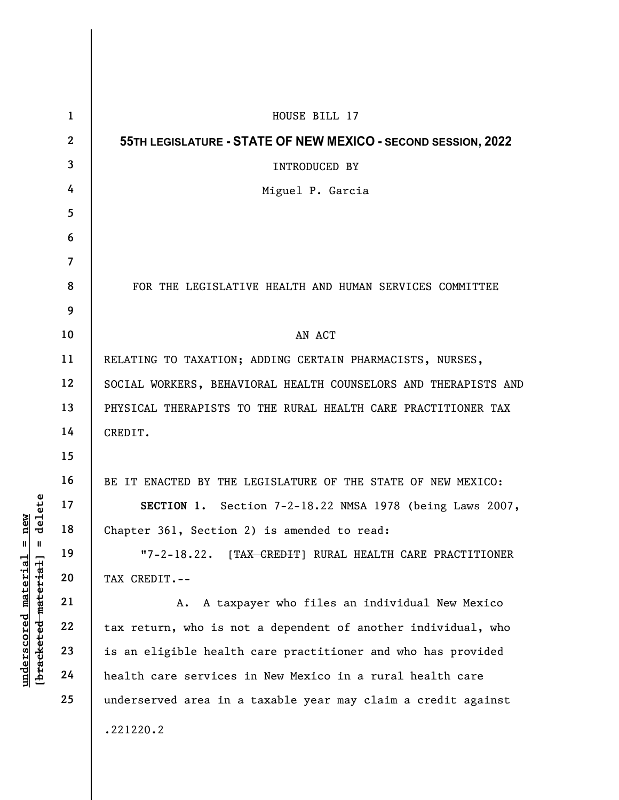|                                                                                                                                   | $\mathbf{1}$    | HOUSE BILL 17                                                    |
|-----------------------------------------------------------------------------------------------------------------------------------|-----------------|------------------------------------------------------------------|
| ete<br>new<br>dele<br>$\frac{e}{d}$<br>$^{\mathsf{II}}$<br>$\mathbf{I}$<br><u>material</u><br>[bracketed material]<br>underscored | $\mathbf{2}$    | 55TH LEGISLATURE - STATE OF NEW MEXICO - SECOND SESSION, 2022    |
|                                                                                                                                   | $\mathbf{3}$    | INTRODUCED BY                                                    |
|                                                                                                                                   | 4               | Miguel P. Garcia                                                 |
|                                                                                                                                   | 5               |                                                                  |
|                                                                                                                                   | 6               |                                                                  |
|                                                                                                                                   | $\overline{7}$  |                                                                  |
|                                                                                                                                   | 8               | FOR THE LEGISLATIVE HEALTH AND HUMAN SERVICES COMMITTEE          |
|                                                                                                                                   | 9               |                                                                  |
|                                                                                                                                   | 10              | AN ACT                                                           |
|                                                                                                                                   | 11              | RELATING TO TAXATION; ADDING CERTAIN PHARMACISTS, NURSES,        |
|                                                                                                                                   | 12              | SOCIAL WORKERS, BEHAVIORAL HEALTH COUNSELORS AND THERAPISTS AND  |
|                                                                                                                                   | 13              | PHYSICAL THERAPISTS TO THE RURAL HEALTH CARE PRACTITIONER TAX    |
|                                                                                                                                   | 14              | CREDIT.                                                          |
|                                                                                                                                   | 15              |                                                                  |
|                                                                                                                                   | 16              | BE IT ENACTED BY THE LEGISLATURE OF THE STATE OF NEW MEXICO:     |
|                                                                                                                                   | 17 <sub>2</sub> | SECTION 1. Section 7-2-18.22 NMSA 1978 (being Laws 2007,         |
|                                                                                                                                   | 18              | Chapter 361, Section 2) is amended to read:                      |
|                                                                                                                                   | 19              | $"7 - 2 - 18.22.$<br>[TAX CREDIT] RURAL HEALTH CARE PRACTITIONER |
|                                                                                                                                   | 20              | TAX CREDIT.--                                                    |
|                                                                                                                                   | 21              | A taxpayer who files an individual New Mexico<br>А.              |
|                                                                                                                                   | 22              | tax return, who is not a dependent of another individual, who    |
|                                                                                                                                   | 23              | is an eligible health care practitioner and who has provided     |
|                                                                                                                                   | 24              | health care services in New Mexico in a rural health care        |
|                                                                                                                                   | 25              | underserved area in a taxable year may claim a credit against    |
|                                                                                                                                   |                 | .221220.2                                                        |
|                                                                                                                                   |                 |                                                                  |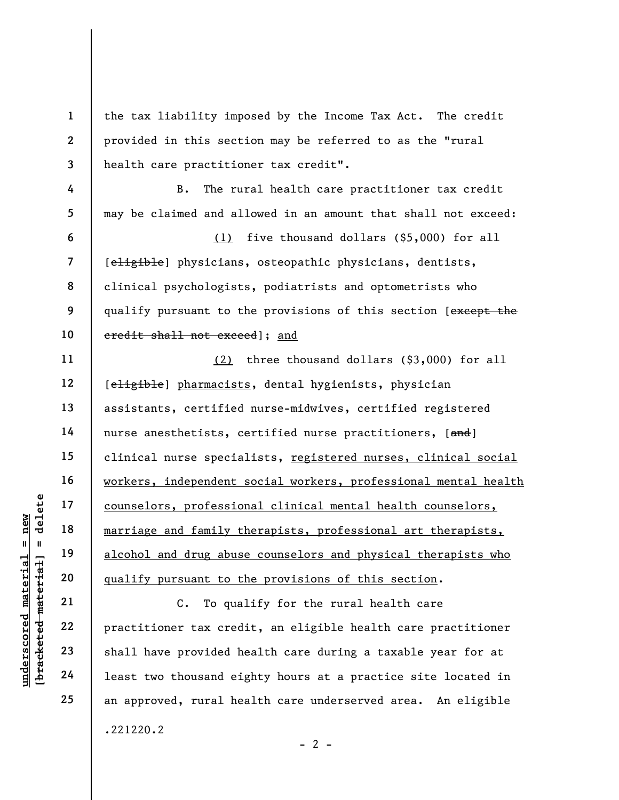underscored material = new [bracketed material] = delete 1 2 3 4 5 6 7 8 9 10 11 12 13 14 15 16 17 18 19 20 21 22 23 24 25 the tax liability imposed by the Income Tax Act. The credit provided in this section may be referred to as the "rural health care practitioner tax credit". B. The rural health care practitioner tax credit may be claimed and allowed in an amount that shall not exceed: (1) five thousand dollars (\$5,000) for all [eligible] physicians, osteopathic physicians, dentists, clinical psychologists, podiatrists and optometrists who qualify pursuant to the provisions of this section [except the credit shall not exceed]; and (2) three thousand dollars (\$3,000) for all [eligible] pharmacists, dental hygienists, physician assistants, certified nurse-midwives, certified registered nurse anesthetists, certified nurse practitioners, [and] clinical nurse specialists, registered nurses, clinical social workers, independent social workers, professional mental health counselors, professional clinical mental health counselors, marriage and family therapists, professional art therapists, alcohol and drug abuse counselors and physical therapists who qualify pursuant to the provisions of this section. C. To qualify for the rural health care practitioner tax credit, an eligible health care practitioner shall have provided health care during a taxable year for at least two thousand eighty hours at a practice site located in an approved, rural health care underserved area. An eligible

 $- 2 -$ 

.221220.2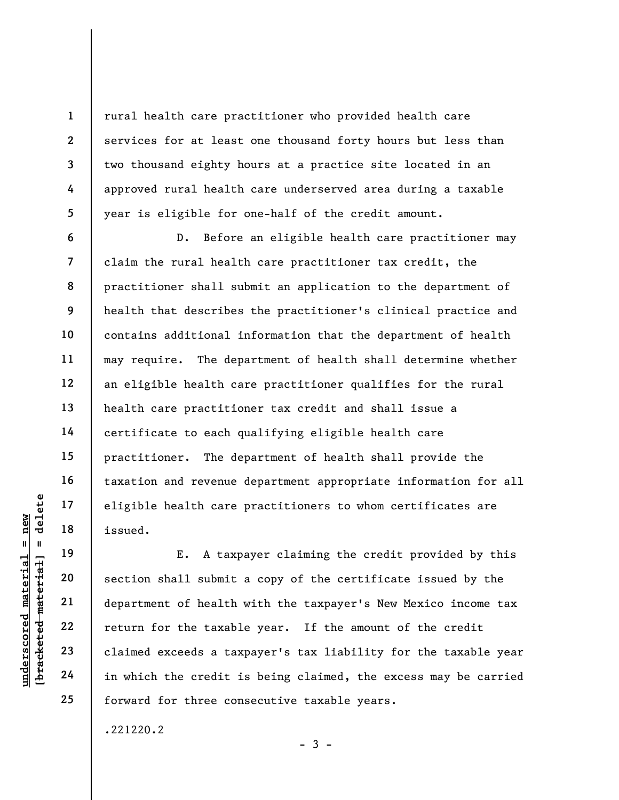rural health care practitioner who provided health care services for at least one thousand forty hours but less than two thousand eighty hours at a practice site located in an approved rural health care underserved area during a taxable year is eligible for one-half of the credit amount.

D. Before an eligible health care practitioner may claim the rural health care practitioner tax credit, the practitioner shall submit an application to the department of health that describes the practitioner's clinical practice and contains additional information that the department of health may require. The department of health shall determine whether an eligible health care practitioner qualifies for the rural health care practitioner tax credit and shall issue a certificate to each qualifying eligible health care practitioner. The department of health shall provide the taxation and revenue department appropriate information for all eligible health care practitioners to whom certificates are issued.

underscored material end and the seated.<br>
Fund 19<br>
understand material material scores and the section shall submit<br>
department of health<br>
22<br>
understand exceeds a tax<br>
24<br>
in which the credit is 19 20 21 22 23 24 25 E. A taxpayer claiming the credit provided by this section shall submit a copy of the certificate issued by the department of health with the taxpayer's New Mexico income tax return for the taxable year. If the amount of the credit claimed exceeds a taxpayer's tax liability for the taxable year in which the credit is being claimed, the excess may be carried forward for three consecutive taxable years.

 $-3 -$ 

.221220.2

1

2

3

4

5

6

7

8

9

10

11

12

13

14

15

16

17

18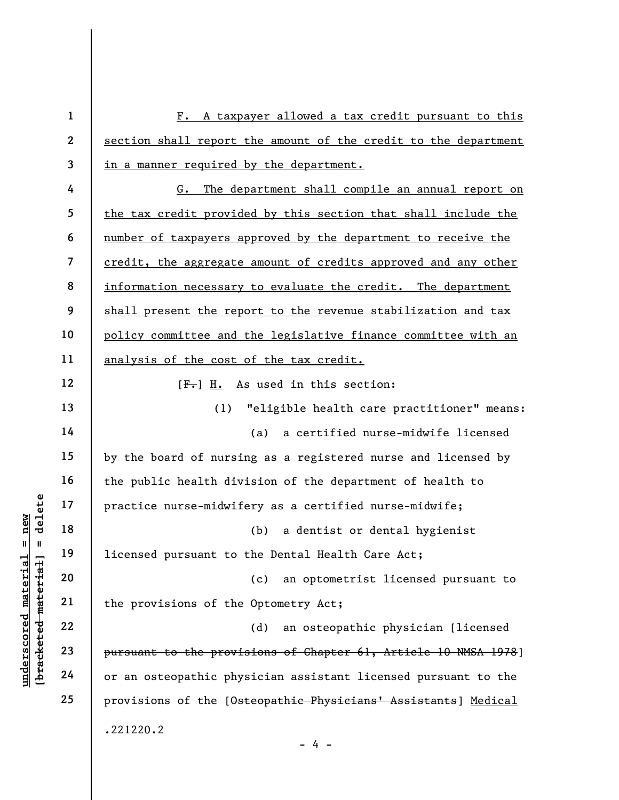|                                    | $\mathbf{1}$            | $F$ .<br>A taxpayer allowed a tax credit pursuant to this       |
|------------------------------------|-------------------------|-----------------------------------------------------------------|
|                                    | $\overline{2}$          | section shall report the amount of the credit to the department |
|                                    | $\overline{\mathbf{3}}$ | in a manner required by the department.                         |
|                                    | 4                       | The department shall compile an annual report on<br>G.          |
|                                    | 5                       | the tax credit provided by this section that shall include the  |
|                                    | 6                       | number of taxpayers approved by the department to receive the   |
|                                    | $\overline{\mathbf{z}}$ | credit, the aggregate amount of credits approved and any other  |
|                                    | 8                       | information necessary to evaluate the credit. The department    |
|                                    | 9                       | shall present the report to the revenue stabilization and tax   |
|                                    | 10                      | policy committee and the legislative finance committee with an  |
|                                    | 11                      | analysis of the cost of the tax credit.                         |
|                                    | 12                      | $[F1]$ H. As used in this section:                              |
|                                    | 13                      | "eligible health care practitioner" means:<br>(1)               |
|                                    | 14                      | (a)<br>a certified nurse-midwife licensed                       |
|                                    | 15                      | by the board of nursing as a registered nurse and licensed by   |
|                                    | 16                      | the public health division of the department of health to       |
| delete                             | 17                      | practice nurse-midwifery as a certified nurse-midwife;          |
| new                                | 18                      | (b)<br>a dentist or dental hygienist                            |
| Ш<br>Ш                             | 19                      | licensed pursuant to the Dental Health Care Act;                |
| material                           | 20                      | an optometrist licensed pursuant to<br>(c)                      |
|                                    | 21                      | the provisions of the Optometry Act;                            |
| [bracketed material<br>underscored | 22                      | an osteopathic physician [ <del>licensed</del><br>(d)           |
|                                    | 23                      | pursuant to the provisions of Chapter 61, Article 10 NMSA 1978] |
|                                    | 24                      | or an osteopathic physician assistant licensed pursuant to the  |
|                                    | 25                      | provisions of the [Osteopathic Physicians' Assistants] Medical  |
|                                    |                         | .221220.2<br>- 4 -                                              |
|                                    |                         |                                                                 |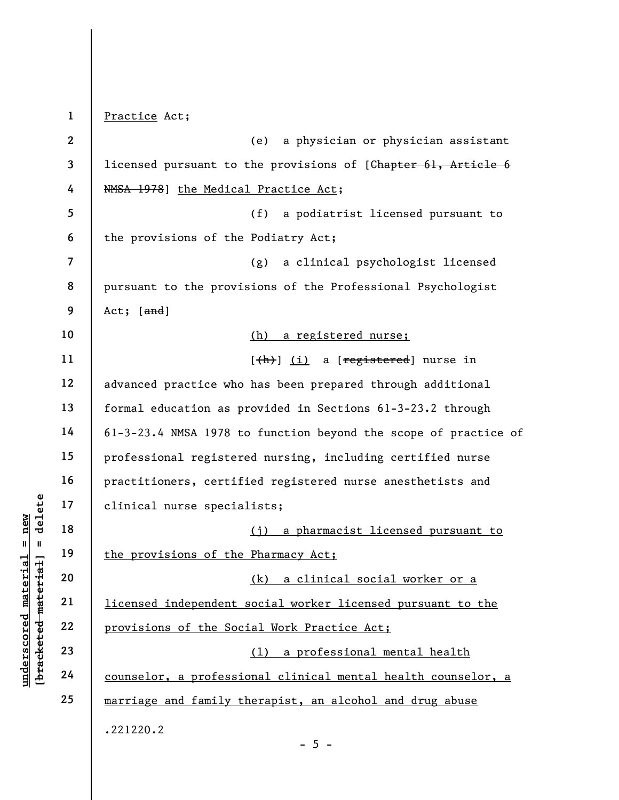under 17<br>
= 18<br>
= 18<br>
= 19<br>
= 19<br>
= 19<br>
= 19<br>
= 19<br>
= 19<br>
= 19<br>
= 19<br>
= 19<br>
= 19<br>
= 10<br>
= 10<br>
= 10<br>
= 10<br>
= 10<br>
= 10<br>
= 10<br>
= 10<br>
= 10<br>
= 10<br>
= 10<br>
= 10<br>
= 10<br>
= 10<br>
= 10<br>
= 10<br>
= 10<br>
= 10<br>
= 10<br>
= 10<br>
= 10<br>
= 10<br>
= 10<br>
= 1 2 3 4 5 6 7 8 9 10 11 12 13 14 15 16 17 18 19 20 21 22 23 24 25 Practice Act; (e) a physician or physician assistant licensed pursuant to the provisions of [Chapter 61, Article 6 NMSA 1978] the Medical Practice Act; (f) a podiatrist licensed pursuant to the provisions of the Podiatry Act; (g) a clinical psychologist licensed pursuant to the provisions of the Professional Psychologist Act;  $[and]$ (h) a registered nurse;  $[\frac{h}{h}]$  (i) a [registered] nurse in advanced practice who has been prepared through additional formal education as provided in Sections 61-3-23.2 through 61-3-23.4 NMSA 1978 to function beyond the scope of practice of professional registered nursing, including certified nurse practitioners, certified registered nurse anesthetists and clinical nurse specialists; (j) a pharmacist licensed pursuant to the provisions of the Pharmacy Act; (k) a clinical social worker or a licensed independent social worker licensed pursuant to the provisions of the Social Work Practice Act; (l) a professional mental health counselor, a professional clinical mental health counselor, a marriage and family therapist, an alcohol and drug abuse .221220.2  $- 5 -$